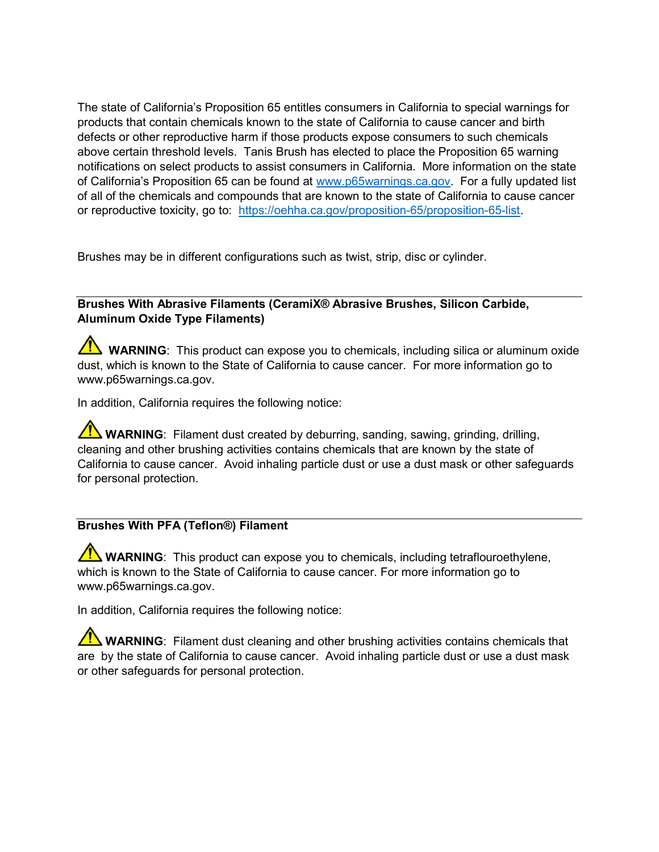The state of California's Proposition 65 entitles consumers in California to special warnings for products that contain chemicals known to the state of California to cause cancer and birth defects or other reproductive harm if those products expose consumers to such chemicals above certain threshold levels. Tanis Brush has elected to place the Proposition 65 warning notifications on select products to assist consumers in California. More information on the state of California's Proposition 65 can be found at www.p65warnings.ca.gov. For a fully updated list of all of the chemicals and compounds that are known to the state of California to cause cancer or reproductive toxicity, go to: https://oehha.ca.gov/proposition-65/proposition-65-list.

Brushes may be in different configurations such as twist, strip, disc or cylinder.

## Brushes With Abrasive Filaments (CeramiX® Abrasive Brushes, Silicon Carbide, Aluminum Oxide Type Filaments)

WARNING: This product can expose you to chemicals, including silica or aluminum oxide dust, which is known to the State of California to cause cancer. For more information go to www.p65warnings.ca.gov.

In addition, California requires the following notice:

WARNING: Filament dust created by deburring, sanding, sawing, grinding, drilling, cleaning and other brushing activities contains chemicals that are known by the state of California to cause cancer. Avoid inhaling particle dust or use a dust mask or other safeguards for personal protection.

## Brushes With PFA (Teflon®) Filament

**TA WARNING:** This product can expose you to chemicals, including tetraflouroethylene, which is known to the State of California to cause cancer. For more information go to www.p65warnings.ca.gov.

In addition, California requires the following notice:

**WARNING**: Filament dust cleaning and other brushing activities contains chemicals that are by the state of California to cause cancer. Avoid inhaling particle dust or use a dust mask or other safeguards for personal protection.